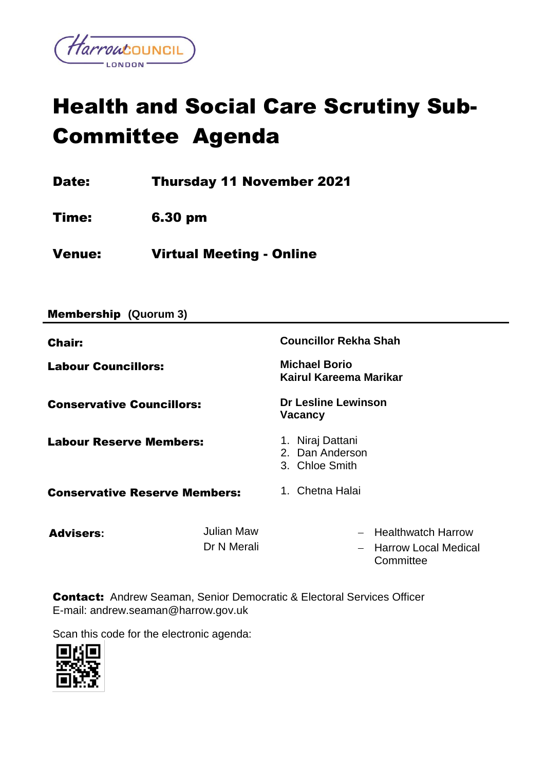

# Health and Social Care Scrutiny Sub-Committee Agenda

Date: Thursday 11 November 2021

Time: 6.30 pm

Venue: Virtual Meeting - Online

| <b>Membership (Quorum 3)</b>                |                           |                                                                                |
|---------------------------------------------|---------------------------|--------------------------------------------------------------------------------|
| <b>Chair:</b><br><b>Labour Councillors:</b> |                           | <b>Councillor Rekha Shah</b><br><b>Michael Borio</b><br>Kairul Kareema Marikar |
| <b>Conservative Councillors:</b>            |                           | <b>Dr Lesline Lewinson</b><br><b>Vacancy</b>                                   |
| <b>Labour Reserve Members:</b>              |                           | 1. Niraj Dattani<br>2. Dan Anderson<br>3. Chloe Smith                          |
| <b>Conservative Reserve Members:</b>        |                           | 1. Chetna Halai                                                                |
| <b>Advisers:</b>                            | Julian Maw<br>Dr N Merali | - Healthwatch Harrow<br><b>Harrow Local Medical</b><br>Committee               |

Contact:Andrew Seaman, Senior Democratic & Electoral Services Officer E-mail: andrew.seaman@harrow.gov.uk

Scan this code for the electronic agenda:

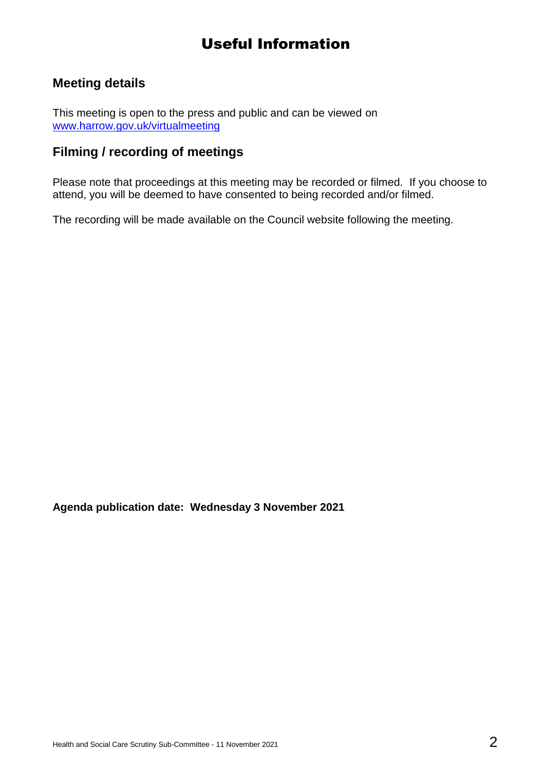## Useful Information

## **Meeting details**

This meeting is open to the press and public and can be viewed on [www.harrow.gov.uk/virtualmeeting](http://www.harrow.gov.uk/virtualmeeting)

### **Filming / recording of meetings**

Please note that proceedings at this meeting may be recorded or filmed. If you choose to attend, you will be deemed to have consented to being recorded and/or filmed.

The recording will be made available on the Council website following the meeting.

**Agenda publication date: Wednesday 3 November 2021**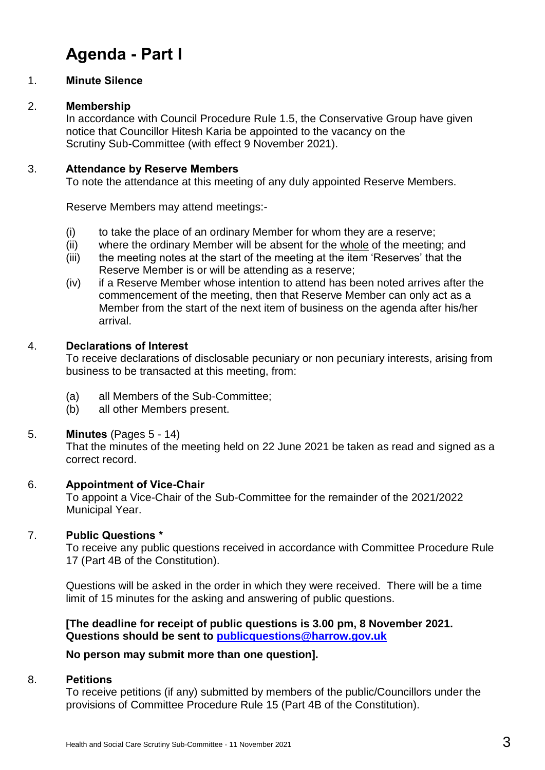# **Agenda - Part I**

#### 1. **Minute Silence**

#### 2. **Membership**

In accordance with Council Procedure Rule 1.5, the Conservative Group have given notice that Councillor Hitesh Karia be appointed to the vacancy on the Scrutiny Sub-Committee (with effect 9 November 2021).

#### 3. **Attendance by Reserve Members**

To note the attendance at this meeting of any duly appointed Reserve Members.

Reserve Members may attend meetings:-

- (i) to take the place of an ordinary Member for whom they are a reserve;
- (ii) where the ordinary Member will be absent for the whole of the meeting; and
- (iii) the meeting notes at the start of the meeting at the item 'Reserves' that the Reserve Member is or will be attending as a reserve;
- (iv) if a Reserve Member whose intention to attend has been noted arrives after the commencement of the meeting, then that Reserve Member can only act as a Member from the start of the next item of business on the agenda after his/her arrival.

#### 4. **Declarations of Interest**

To receive declarations of disclosable pecuniary or non pecuniary interests, arising from business to be transacted at this meeting, from:

- (a) all Members of the Sub-Committee;
- (b) all other Members present.

#### 5. **Minutes** (Pages 5 - 14)

That the minutes of the meeting held on 22 June 2021 be taken as read and signed as a correct record.

#### 6. **Appointment of Vice-Chair**

To appoint a Vice-Chair of the Sub-Committee for the remainder of the 2021/2022 Municipal Year.

#### 7. **Public Questions \***

To receive any public questions received in accordance with Committee Procedure Rule 17 (Part 4B of the Constitution).

Questions will be asked in the order in which they were received. There will be a time limit of 15 minutes for the asking and answering of public questions.

**[The deadline for receipt of public questions is 3.00 pm, 8 November 2021. Questions should be sent to [publicquestions@harrow.gov.uk](mailto:publicquestions@harrow.gov.uk)** 

#### **No person may submit more than one question].**

#### 8. **Petitions**

To receive petitions (if any) submitted by members of the public/Councillors under the provisions of Committee Procedure Rule 15 (Part 4B of the Constitution).